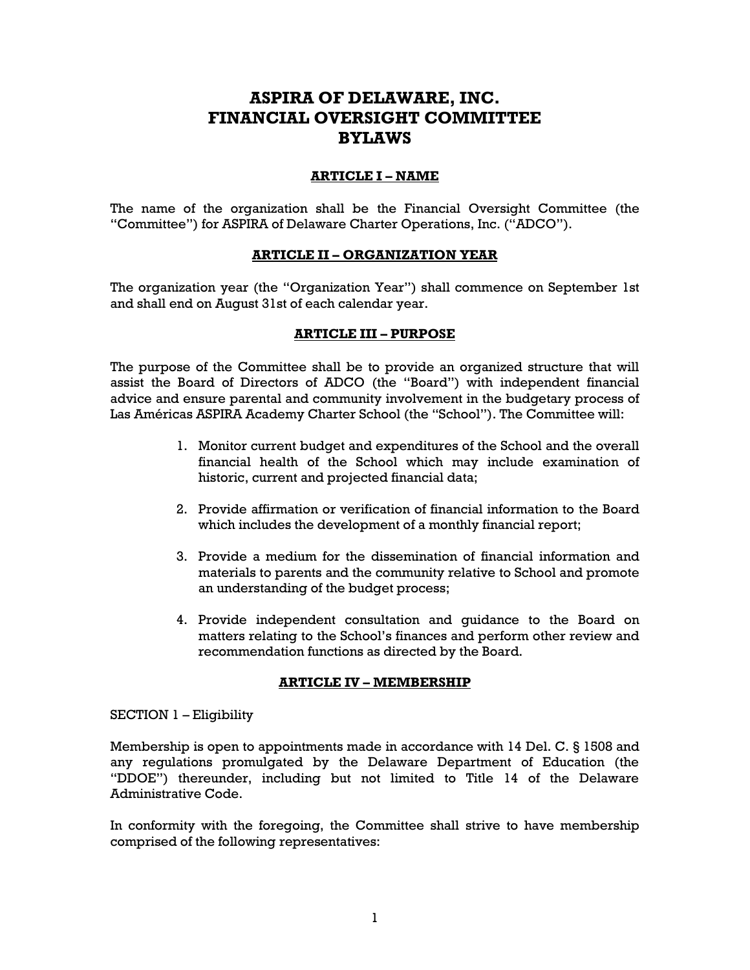# **ASPIRA OF DELAWARE, INC. FINANCIAL OVERSIGHT COMMITTEE BYLAWS**

#### **ARTICLE I – NAME**

The name of the organization shall be the Financial Oversight Committee (the "Committee") for ASPIRA of Delaware Charter Operations, Inc. ("ADCO").

## **ARTICLE II – ORGANIZATION YEAR**

The organization year (the "Organization Year") shall commence on September 1st and shall end on August 31st of each calendar year.

## **ARTICLE III – PURPOSE**

The purpose of the Committee shall be to provide an organized structure that will assist the Board of Directors of ADCO (the "Board") with independent financial advice and ensure parental and community involvement in the budgetary process of Las Américas ASPIRA Academy Charter School (the "School"). The Committee will:

- 1. Monitor current budget and expenditures of the School and the overall financial health of the School which may include examination of historic, current and projected financial data;
- 2. Provide affirmation or verification of financial information to the Board which includes the development of a monthly financial report;
- 3. Provide a medium for the dissemination of financial information and materials to parents and the community relative to School and promote an understanding of the budget process;
- 4. Provide independent consultation and guidance to the Board on matters relating to the School's finances and perform other review and recommendation functions as directed by the Board.

#### **ARTICLE IV – MEMBERSHIP**

#### SECTION 1 – Eligibility

Membership is open to appointments made in accordance with 14 Del. C. § 1508 and any regulations promulgated by the Delaware Department of Education (the "DDOE") thereunder, including but not limited to Title 14 of the Delaware Administrative Code.

In conformity with the foregoing, the Committee shall strive to have membership comprised of the following representatives: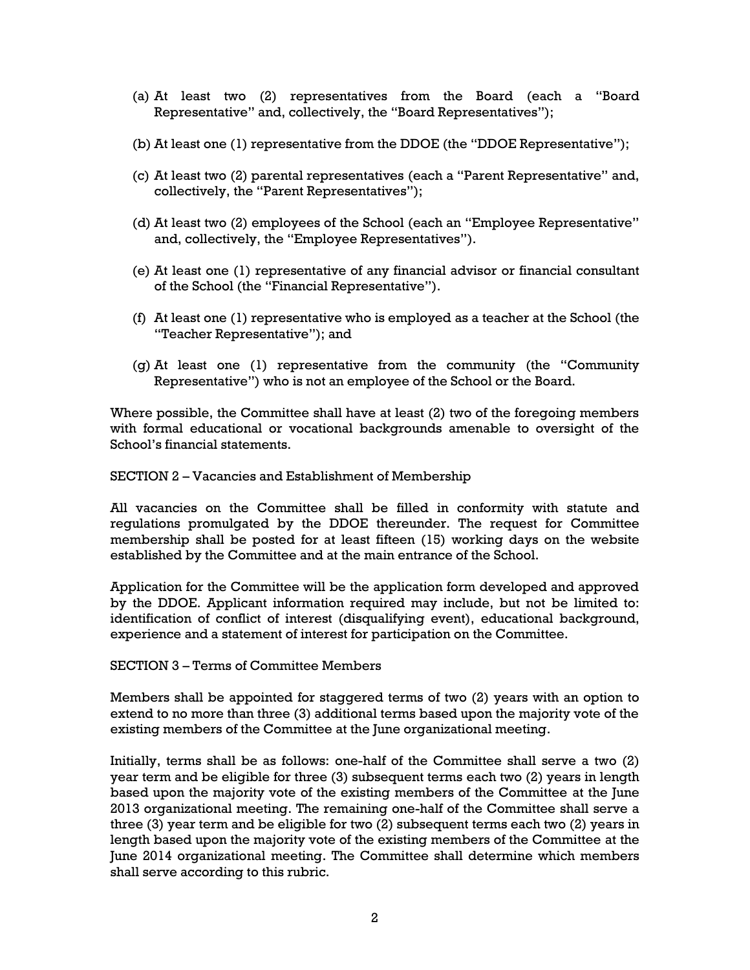- (a) At least two (2) representatives from the Board (each a "Board Representative" and, collectively, the "Board Representatives");
- (b) At least one (1) representative from the DDOE (the "DDOE Representative");
- (c) At least two (2) parental representatives (each a "Parent Representative" and, collectively, the "Parent Representatives");
- (d) At least two (2) employees of the School (each an "Employee Representative" and, collectively, the "Employee Representatives").
- (e) At least one (1) representative of any financial advisor or financial consultant of the School (the "Financial Representative").
- (f) At least one (1) representative who is employed as a teacher at the School (the "Teacher Representative"); and
- (g) At least one (1) representative from the community (the "Community Representative") who is not an employee of the School or the Board.

Where possible, the Committee shall have at least (2) two of the foregoing members with formal educational or vocational backgrounds amenable to oversight of the School's financial statements.

SECTION 2 – Vacancies and Establishment of Membership

All vacancies on the Committee shall be filled in conformity with statute and regulations promulgated by the DDOE thereunder. The request for Committee membership shall be posted for at least fifteen (15) working days on the website established by the Committee and at the main entrance of the School.

Application for the Committee will be the application form developed and approved by the DDOE. Applicant information required may include, but not be limited to: identification of conflict of interest (disqualifying event), educational background, experience and a statement of interest for participation on the Committee.

SECTION 3 – Terms of Committee Members

Members shall be appointed for staggered terms of two (2) years with an option to extend to no more than three (3) additional terms based upon the majority vote of the existing members of the Committee at the June organizational meeting.

Initially, terms shall be as follows: one-half of the Committee shall serve a two (2) year term and be eligible for three (3) subsequent terms each two (2) years in length based upon the majority vote of the existing members of the Committee at the June 2013 organizational meeting. The remaining one-half of the Committee shall serve a three (3) year term and be eligible for two (2) subsequent terms each two (2) years in length based upon the majority vote of the existing members of the Committee at the June 2014 organizational meeting. The Committee shall determine which members shall serve according to this rubric.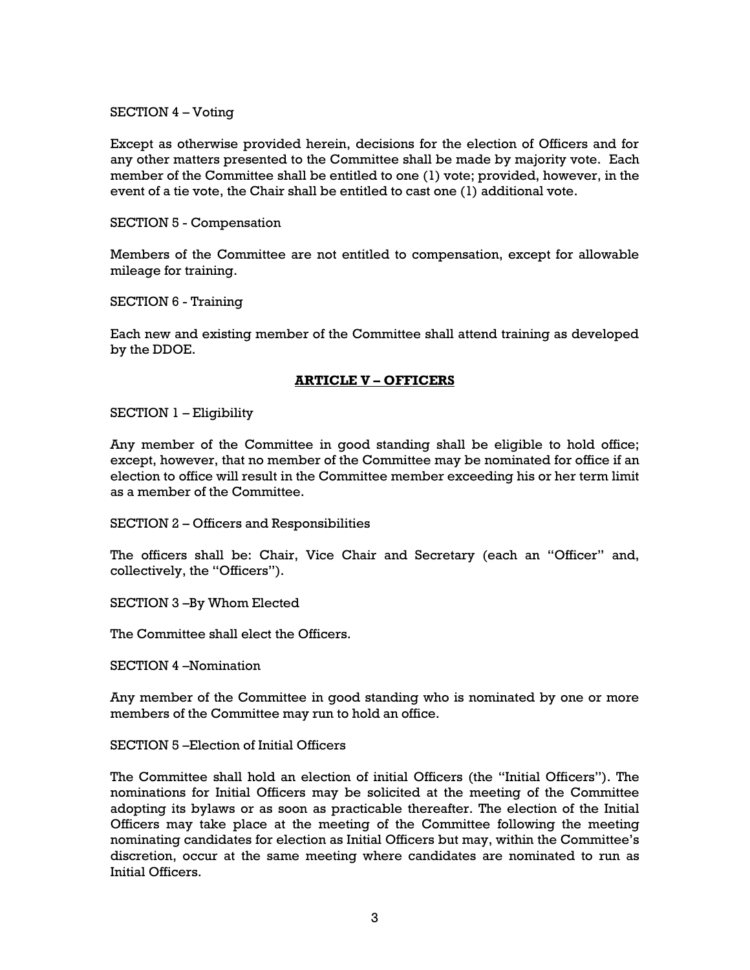#### SECTION 4 – Voting

Except as otherwise provided herein, decisions for the election of Officers and for any other matters presented to the Committee shall be made by majority vote. Each member of the Committee shall be entitled to one (1) vote; provided, however, in the event of a tie vote, the Chair shall be entitled to cast one (1) additional vote.

#### SECTION 5 - Compensation

Members of the Committee are not entitled to compensation, except for allowable mileage for training.

SECTION 6 - Training

Each new and existing member of the Committee shall attend training as developed by the DDOE.

## **ARTICLE V – OFFICERS**

SECTION 1 – Eligibility

Any member of the Committee in good standing shall be eligible to hold office; except, however, that no member of the Committee may be nominated for office if an election to office will result in the Committee member exceeding his or her term limit as a member of the Committee.

SECTION 2 – Officers and Responsibilities

The officers shall be: Chair, Vice Chair and Secretary (each an "Officer" and, collectively, the "Officers").

SECTION 3 –By Whom Elected

The Committee shall elect the Officers.

SECTION 4 –Nomination

Any member of the Committee in good standing who is nominated by one or more members of the Committee may run to hold an office.

SECTION 5 –Election of Initial Officers

The Committee shall hold an election of initial Officers (the "Initial Officers"). The nominations for Initial Officers may be solicited at the meeting of the Committee adopting its bylaws or as soon as practicable thereafter. The election of the Initial Officers may take place at the meeting of the Committee following the meeting nominating candidates for election as Initial Officers but may, within the Committee's discretion, occur at the same meeting where candidates are nominated to run as Initial Officers.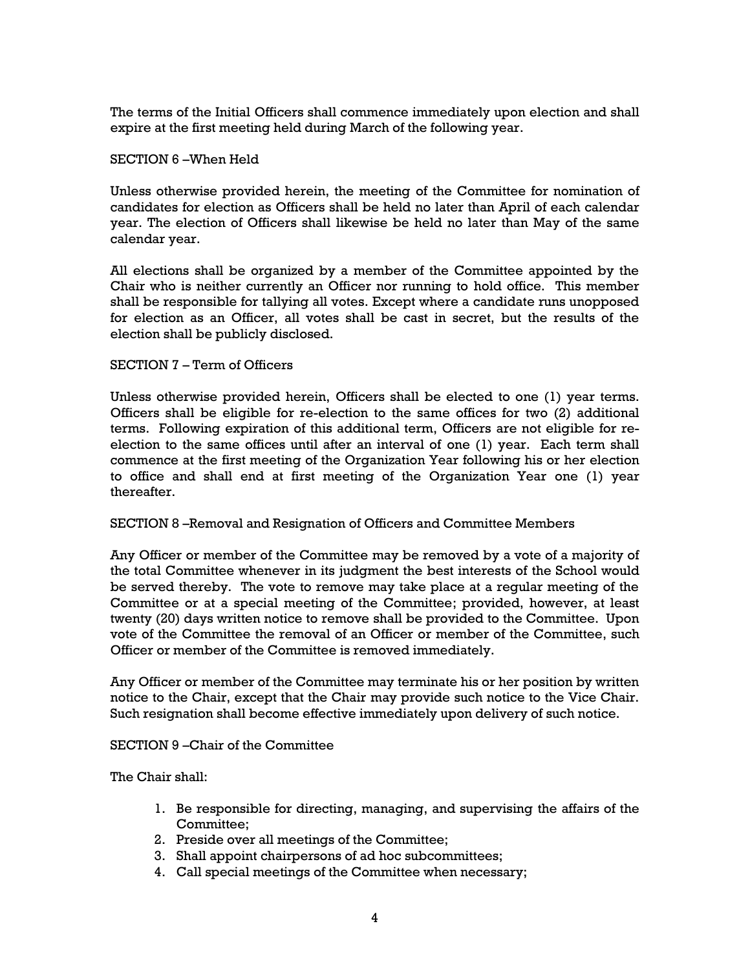The terms of the Initial Officers shall commence immediately upon election and shall expire at the first meeting held during March of the following year.

#### SECTION 6 –When Held

Unless otherwise provided herein, the meeting of the Committee for nomination of candidates for election as Officers shall be held no later than April of each calendar year. The election of Officers shall likewise be held no later than May of the same calendar year.

All elections shall be organized by a member of the Committee appointed by the Chair who is neither currently an Officer nor running to hold office. This member shall be responsible for tallying all votes. Except where a candidate runs unopposed for election as an Officer, all votes shall be cast in secret, but the results of the election shall be publicly disclosed.

#### SECTION 7 – Term of Officers

Unless otherwise provided herein, Officers shall be elected to one (1) year terms. Officers shall be eligible for re-election to the same offices for two (2) additional terms. Following expiration of this additional term, Officers are not eligible for reelection to the same offices until after an interval of one (1) year. Each term shall commence at the first meeting of the Organization Year following his or her election to office and shall end at first meeting of the Organization Year one (1) year thereafter.

## SECTION 8 –Removal and Resignation of Officers and Committee Members

Any Officer or member of the Committee may be removed by a vote of a majority of the total Committee whenever in its judgment the best interests of the School would be served thereby. The vote to remove may take place at a regular meeting of the Committee or at a special meeting of the Committee; provided, however, at least twenty (20) days written notice to remove shall be provided to the Committee. Upon vote of the Committee the removal of an Officer or member of the Committee, such Officer or member of the Committee is removed immediately.

Any Officer or member of the Committee may terminate his or her position by written notice to the Chair, except that the Chair may provide such notice to the Vice Chair. Such resignation shall become effective immediately upon delivery of such notice.

SECTION 9 –Chair of the Committee

The Chair shall:

- 1. Be responsible for directing, managing, and supervising the affairs of the Committee;
- 2. Preside over all meetings of the Committee;
- 3. Shall appoint chairpersons of ad hoc subcommittees;
- 4. Call special meetings of the Committee when necessary;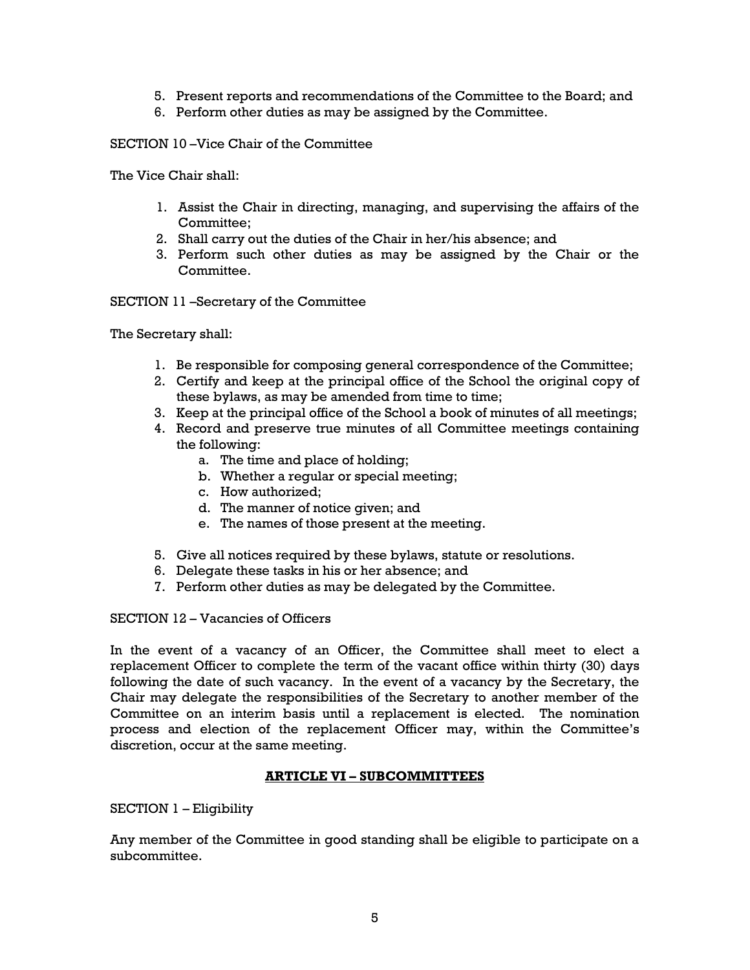- 5. Present reports and recommendations of the Committee to the Board; and
- 6. Perform other duties as may be assigned by the Committee.

SECTION 10 –Vice Chair of the Committee

The Vice Chair shall:

- 1. Assist the Chair in directing, managing, and supervising the affairs of the Committee;
- 2. Shall carry out the duties of the Chair in her/his absence; and
- 3. Perform such other duties as may be assigned by the Chair or the Committee.

SECTION 11 –Secretary of the Committee

The Secretary shall:

- 1. Be responsible for composing general correspondence of the Committee;
- 2. Certify and keep at the principal office of the School the original copy of these bylaws, as may be amended from time to time;
- 3. Keep at the principal office of the School a book of minutes of all meetings;
- 4. Record and preserve true minutes of all Committee meetings containing the following:
	- a. The time and place of holding;
	- b. Whether a regular or special meeting;
	- c. How authorized;
	- d. The manner of notice given; and
	- e. The names of those present at the meeting.
- 5. Give all notices required by these bylaws, statute or resolutions.
- 6. Delegate these tasks in his or her absence; and
- 7. Perform other duties as may be delegated by the Committee.

SECTION 12 – Vacancies of Officers

In the event of a vacancy of an Officer, the Committee shall meet to elect a replacement Officer to complete the term of the vacant office within thirty (30) days following the date of such vacancy. In the event of a vacancy by the Secretary, the Chair may delegate the responsibilities of the Secretary to another member of the Committee on an interim basis until a replacement is elected. The nomination process and election of the replacement Officer may, within the Committee's discretion, occur at the same meeting.

## **ARTICLE VI – SUBCOMMITTEES**

SECTION 1 – Eligibility

Any member of the Committee in good standing shall be eligible to participate on a subcommittee.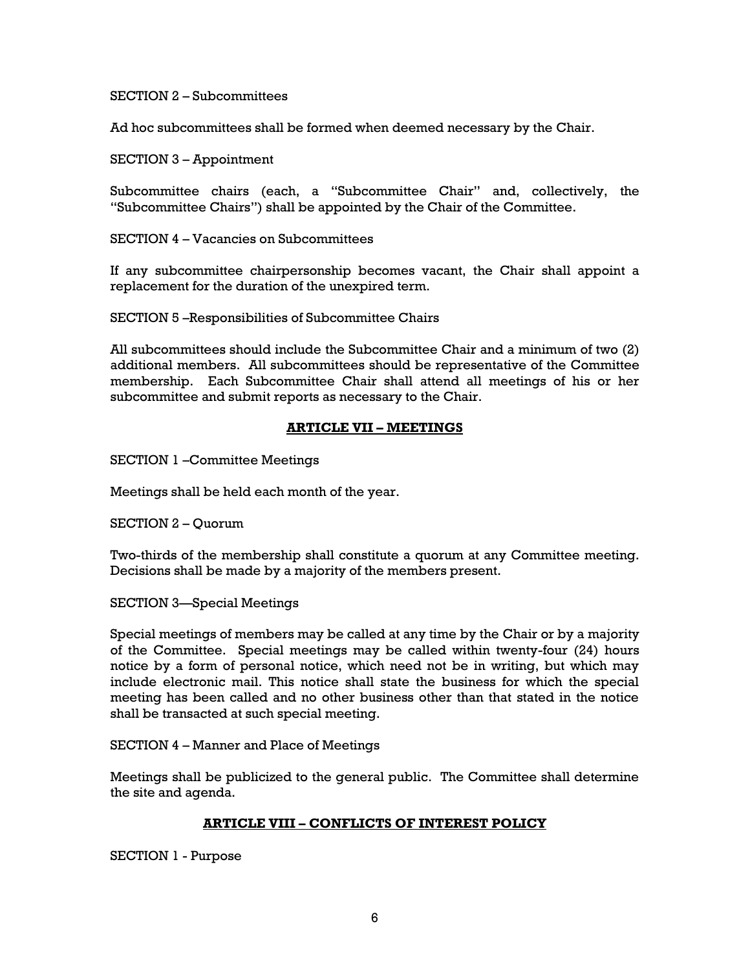SECTION 2 – Subcommittees

Ad hoc subcommittees shall be formed when deemed necessary by the Chair.

SECTION 3 – Appointment

Subcommittee chairs (each, a "Subcommittee Chair" and, collectively, the "Subcommittee Chairs") shall be appointed by the Chair of the Committee.

SECTION 4 – Vacancies on Subcommittees

If any subcommittee chairpersonship becomes vacant, the Chair shall appoint a replacement for the duration of the unexpired term.

SECTION 5 –Responsibilities of Subcommittee Chairs

All subcommittees should include the Subcommittee Chair and a minimum of two (2) additional members. All subcommittees should be representative of the Committee membership. Each Subcommittee Chair shall attend all meetings of his or her subcommittee and submit reports as necessary to the Chair.

## **ARTICLE VII – MEETINGS**

SECTION 1 –Committee Meetings

Meetings shall be held each month of the year.

SECTION 2 – Quorum

Two-thirds of the membership shall constitute a quorum at any Committee meeting. Decisions shall be made by a majority of the members present.

SECTION 3—Special Meetings

Special meetings of members may be called at any time by the Chair or by a majority of the Committee. Special meetings may be called within twenty-four (24) hours notice by a form of personal notice, which need not be in writing, but which may include electronic mail. This notice shall state the business for which the special meeting has been called and no other business other than that stated in the notice shall be transacted at such special meeting.

SECTION 4 – Manner and Place of Meetings

Meetings shall be publicized to the general public. The Committee shall determine the site and agenda.

## **ARTICLE VIII – CONFLICTS OF INTEREST POLICY**

SECTION 1 - Purpose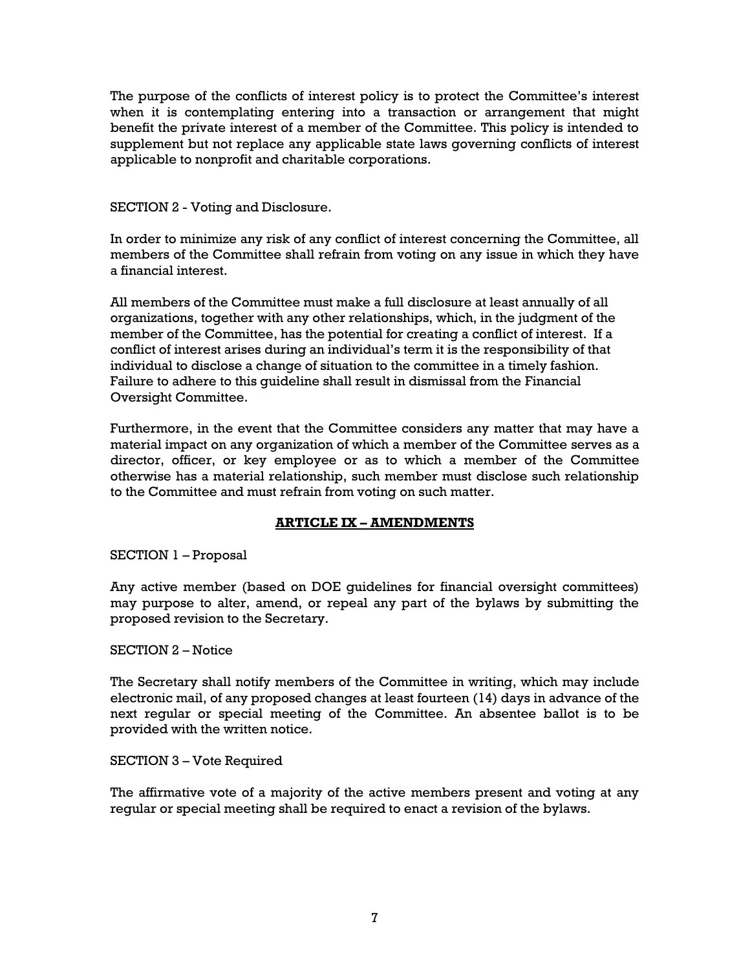The purpose of the conflicts of interest policy is to protect the Committee's interest when it is contemplating entering into a transaction or arrangement that might benefit the private interest of a member of the Committee. This policy is intended to supplement but not replace any applicable state laws governing conflicts of interest applicable to nonprofit and charitable corporations.

SECTION 2 - Voting and Disclosure.

In order to minimize any risk of any conflict of interest concerning the Committee, all members of the Committee shall refrain from voting on any issue in which they have a financial interest.

All members of the Committee must make a full disclosure at least annually of all organizations, together with any other relationships, which, in the judgment of the member of the Committee, has the potential for creating a conflict of interest. If a conflict of interest arises during an individual's term it is the responsibility of that individual to disclose a change of situation to the committee in a timely fashion. Failure to adhere to this guideline shall result in dismissal from the Financial Oversight Committee.

Furthermore, in the event that the Committee considers any matter that may have a material impact on any organization of which a member of the Committee serves as a director, officer, or key employee or as to which a member of the Committee otherwise has a material relationship, such member must disclose such relationship to the Committee and must refrain from voting on such matter.

# **ARTICLE IX – AMENDMENTS**

SECTION 1 – Proposal

Any active member (based on DOE guidelines for financial oversight committees) may purpose to alter, amend, or repeal any part of the bylaws by submitting the proposed revision to the Secretary.

## SECTION 2 – Notice

The Secretary shall notify members of the Committee in writing, which may include electronic mail, of any proposed changes at least fourteen (14) days in advance of the next regular or special meeting of the Committee. An absentee ballot is to be provided with the written notice.

## SECTION 3 – Vote Required

The affirmative vote of a majority of the active members present and voting at any regular or special meeting shall be required to enact a revision of the bylaws.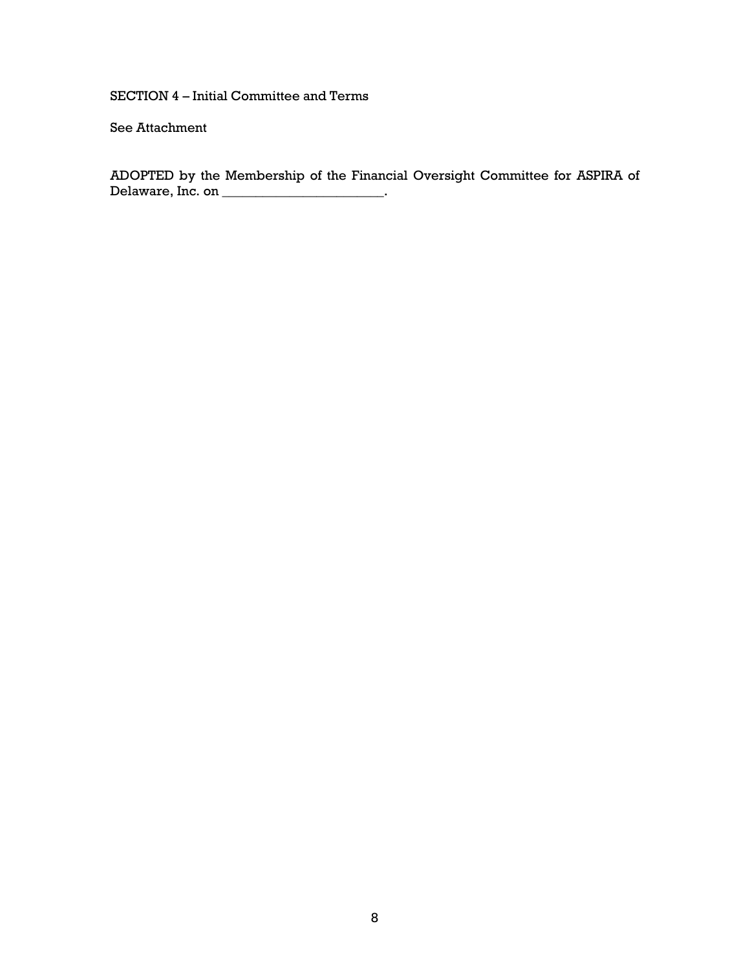SECTION 4 – Initial Committee and Terms

See Attachment

ADOPTED by the Membership of the Financial Oversight Committee for ASPIRA of Delaware, Inc. on \_\_\_\_\_\_\_\_\_\_\_\_\_\_\_\_\_\_\_\_\_\_\_\_\_\_.